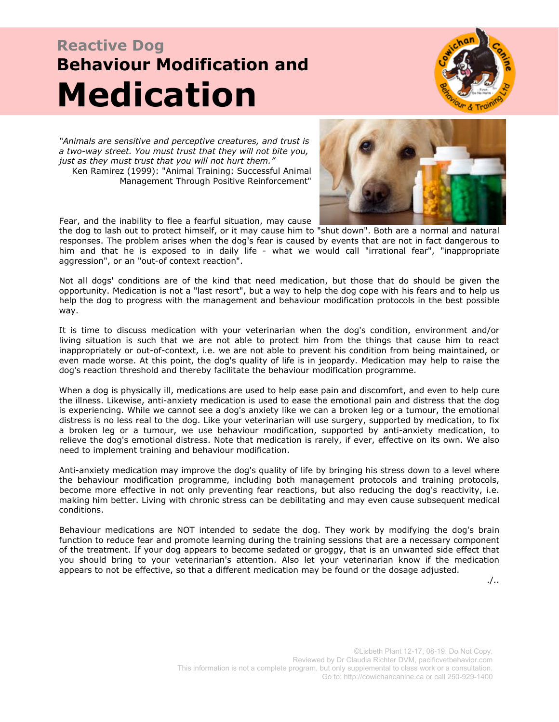# **Reactive Dog Behaviour Modification and Medication**



*"Animals are sensitive and perceptive creatures, and trust is a two-way street. You must trust that they will not bite you, just as they must trust that you will not hurt them."* Ken Ramirez (1999): "Animal Training: Successful Animal Management Through Positive Reinforcement"



Fear, and the inability to flee a fearful situation, may cause

the dog to lash out to protect himself, or it may cause him to "shut down". Both are a normal and natural responses. The problem arises when the dog's fear is caused by events that are not in fact dangerous to him and that he is exposed to in daily life - what we would call "irrational fear", "inappropriate aggression", or an "out-of context reaction".

Not all dogs' conditions are of the kind that need medication, but those that do should be given the opportunity. Medication is not a "last resort", but a way to help the dog cope with his fears and to help us help the dog to progress with the management and behaviour modification protocols in the best possible way.

It is time to discuss medication with your veterinarian when the dog's condition, environment and/or living situation is such that we are not able to protect him from the things that cause him to react inappropriately or out-of-context, i.e. we are not able to prevent his condition from being maintained, or even made worse. At this point, the dog's quality of life is in jeopardy. Medication may help to raise the dog's reaction threshold and thereby facilitate the behaviour modification programme.

When a dog is physically ill, medications are used to help ease pain and discomfort, and even to help cure the illness. Likewise, anti-anxiety medication is used to ease the emotional pain and distress that the dog is experiencing. While we cannot see a dog's anxiety like we can a broken leg or a tumour, the emotional distress is no less real to the dog. Like your veterinarian will use surgery, supported by medication, to fix a broken leg or a tumour, we use behaviour modification, supported by anti-anxiety medication, to relieve the dog's emotional distress. Note that medication is rarely, if ever, effective on its own. We also need to implement training and behaviour modification.

Anti-anxiety medication may improve the dog's quality of life by bringing his stress down to a level where the behaviour modification programme, including both management protocols and training protocols, become more effective in not only preventing fear reactions, but also reducing the dog's reactivity, i.e. making him better. Living with chronic stress can be debilitating and may even cause subsequent medical conditions.

Behaviour medications are NOT intended to sedate the dog. They work by modifying the dog's brain function to reduce fear and promote learning during the training sessions that are a necessary component of the treatment. If your dog appears to become sedated or groggy, that is an unwanted side effect that you should bring to your veterinarian's attention. Also let your veterinarian know if the medication appears to not be effective, so that a different medication may be found or the dosage adjusted.